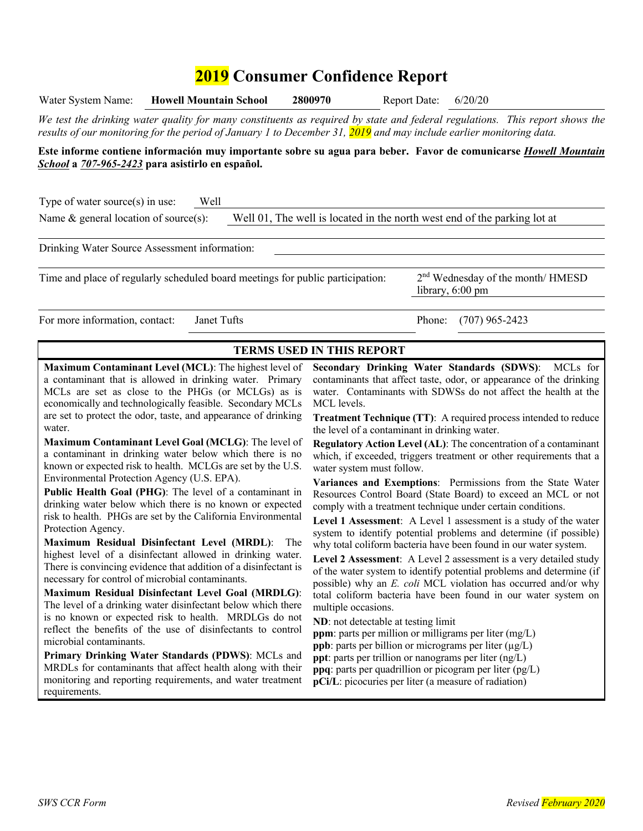# **2019 Consumer Confidence Report**

| <b>Howell Mountain School</b><br>Water System Name:                                                                                                                                                                                                 | 2800970<br><b>Report Date:</b>                                 | 6/20/20                                                                                                                                |  |  |  |
|-----------------------------------------------------------------------------------------------------------------------------------------------------------------------------------------------------------------------------------------------------|----------------------------------------------------------------|----------------------------------------------------------------------------------------------------------------------------------------|--|--|--|
| We test the drinking water quality for many constituents as required by state and federal regulations. This report shows the<br>results of our monitoring for the period of January 1 to December 31, 2019 and may include earlier monitoring data. |                                                                |                                                                                                                                        |  |  |  |
| Este informe contiene información muy importante sobre su agua para beber. Favor de comunicarse <i>Howell Mountain</i>                                                                                                                              |                                                                |                                                                                                                                        |  |  |  |
| School a 707-965-2423 para asistirlo en español.                                                                                                                                                                                                    |                                                                |                                                                                                                                        |  |  |  |
|                                                                                                                                                                                                                                                     |                                                                |                                                                                                                                        |  |  |  |
| Type of water source $(s)$ in use:<br>Well                                                                                                                                                                                                          |                                                                |                                                                                                                                        |  |  |  |
| Name $\&$ general location of source(s):                                                                                                                                                                                                            |                                                                | Well 01, The well is located in the north west end of the parking lot at                                                               |  |  |  |
|                                                                                                                                                                                                                                                     |                                                                |                                                                                                                                        |  |  |  |
| Drinking Water Source Assessment information:                                                                                                                                                                                                       |                                                                |                                                                                                                                        |  |  |  |
|                                                                                                                                                                                                                                                     |                                                                |                                                                                                                                        |  |  |  |
| Time and place of regularly scheduled board meetings for public participation:                                                                                                                                                                      |                                                                | 2 <sup>nd</sup> Wednesday of the month/ HMESD                                                                                          |  |  |  |
|                                                                                                                                                                                                                                                     |                                                                | library, 6:00 pm                                                                                                                       |  |  |  |
| For more information, contact:<br>Janet Tufts                                                                                                                                                                                                       |                                                                | Phone:<br>$(707)$ 965-2423                                                                                                             |  |  |  |
|                                                                                                                                                                                                                                                     |                                                                |                                                                                                                                        |  |  |  |
|                                                                                                                                                                                                                                                     | <b>TERMS USED IN THIS REPORT</b>                               |                                                                                                                                        |  |  |  |
| Maximum Contaminant Level (MCL): The highest level of                                                                                                                                                                                               |                                                                | Secondary Drinking Water Standards (SDWS):<br>MCLs for                                                                                 |  |  |  |
| a contaminant that is allowed in drinking water. Primary                                                                                                                                                                                            |                                                                | contaminants that affect taste, odor, or appearance of the drinking                                                                    |  |  |  |
| MCLs are set as close to the PHGs (or MCLGs) as is                                                                                                                                                                                                  | water. Contaminants with SDWSs do not affect the health at the |                                                                                                                                        |  |  |  |
| economically and technologically feasible. Secondary MCLs                                                                                                                                                                                           | MCL levels.                                                    |                                                                                                                                        |  |  |  |
| are set to protect the odor, taste, and appearance of drinking<br><b>Treatment Technique (TT):</b> A required process intended to reduce<br>water.<br>the level of a contaminant in drinking water.                                                 |                                                                |                                                                                                                                        |  |  |  |
| Maximum Contaminant Level Goal (MCLG): The level of                                                                                                                                                                                                 |                                                                | <b>Regulatory Action Level (AL):</b> The concentration of a contaminant                                                                |  |  |  |
| a contaminant in drinking water below which there is no                                                                                                                                                                                             |                                                                | which, if exceeded, triggers treatment or other requirements that a                                                                    |  |  |  |
| known or expected risk to health. MCLGs are set by the U.S.                                                                                                                                                                                         | water system must follow.                                      |                                                                                                                                        |  |  |  |
| Environmental Protection Agency (U.S. EPA).                                                                                                                                                                                                         |                                                                | Variances and Exemptions: Permissions from the State Water                                                                             |  |  |  |
| Public Health Goal (PHG): The level of a contaminant in<br>drinking water below which there is no known or expected                                                                                                                                 |                                                                | Resources Control Board (State Board) to exceed an MCL or not<br>comply with a treatment technique under certain conditions.           |  |  |  |
| risk to health. PHGs are set by the California Environmental                                                                                                                                                                                        |                                                                | Level 1 Assessment: A Level 1 assessment is a study of the water                                                                       |  |  |  |
| Protection Agency.                                                                                                                                                                                                                                  |                                                                | system to identify potential problems and determine (if possible)                                                                      |  |  |  |
| Maximum Residual Disinfectant Level (MRDL):<br>The<br>highest level of a disinfectant allowed in drinking water.                                                                                                                                    |                                                                | why total coliform bacteria have been found in our water system.                                                                       |  |  |  |
| There is convincing evidence that addition of a disinfectant is                                                                                                                                                                                     |                                                                | Level 2 Assessment: A Level 2 assessment is a very detailed study                                                                      |  |  |  |
| necessary for control of microbial contaminants.                                                                                                                                                                                                    |                                                                | of the water system to identify potential problems and determine (if<br>possible) why an E. coli MCL violation has occurred and/or why |  |  |  |
| Maximum Residual Disinfectant Level Goal (MRDLG):                                                                                                                                                                                                   |                                                                | total coliform bacteria have been found in our water system on                                                                         |  |  |  |
| The level of a drinking water disinfectant below which there                                                                                                                                                                                        | multiple occasions.                                            |                                                                                                                                        |  |  |  |
| is no known or expected risk to health. MRDLGs do not<br>reflect the benefits of the use of disinfectants to control                                                                                                                                | ND: not detectable at testing limit                            |                                                                                                                                        |  |  |  |
| microbial contaminants.                                                                                                                                                                                                                             |                                                                | <b>ppm</b> : parts per million or milligrams per liter (mg/L)<br>ppb: parts per billion or micrograms per liter $(\mu g/L)$            |  |  |  |
| Primary Drinking Water Standards (PDWS): MCLs and                                                                                                                                                                                                   |                                                                | ppt: parts per trillion or nanograms per liter (ng/L)                                                                                  |  |  |  |
| MRDLs for contaminants that affect health along with their                                                                                                                                                                                          |                                                                | <b>ppq</b> : parts per quadrillion or picogram per liter $(pg/L)$                                                                      |  |  |  |
| monitoring and reporting requirements, and water treatment<br>requirements.                                                                                                                                                                         |                                                                | pCi/L: picocuries per liter (a measure of radiation)                                                                                   |  |  |  |
|                                                                                                                                                                                                                                                     |                                                                |                                                                                                                                        |  |  |  |
|                                                                                                                                                                                                                                                     |                                                                |                                                                                                                                        |  |  |  |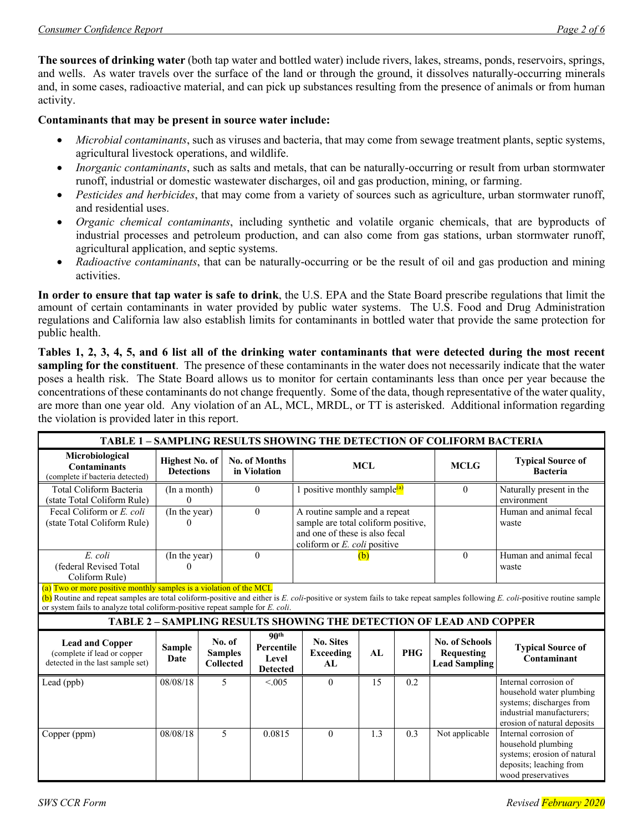**The sources of drinking water** (both tap water and bottled water) include rivers, lakes, streams, ponds, reservoirs, springs, and wells. As water travels over the surface of the land or through the ground, it dissolves naturally-occurring minerals and, in some cases, radioactive material, and can pick up substances resulting from the presence of animals or from human activity.

#### **Contaminants that may be present in source water include:**

- *Microbial contaminants*, such as viruses and bacteria, that may come from sewage treatment plants, septic systems, agricultural livestock operations, and wildlife.
- *Inorganic contaminants*, such as salts and metals, that can be naturally-occurring or result from urban stormwater runoff, industrial or domestic wastewater discharges, oil and gas production, mining, or farming.
- *Pesticides and herbicides*, that may come from a variety of sources such as agriculture, urban stormwater runoff, and residential uses.
- *Organic chemical contaminants*, including synthetic and volatile organic chemicals, that are byproducts of industrial processes and petroleum production, and can also come from gas stations, urban stormwater runoff, agricultural application, and septic systems.
- *Radioactive contaminants*, that can be naturally-occurring or be the result of oil and gas production and mining activities.

**In order to ensure that tap water is safe to drink**, the U.S. EPA and the State Board prescribe regulations that limit the amount of certain contaminants in water provided by public water systems. The U.S. Food and Drug Administration regulations and California law also establish limits for contaminants in bottled water that provide the same protection for public health.

**Tables 1, 2, 3, 4, 5, and 6 list all of the drinking water contaminants that were detected during the most recent sampling for the constituent**. The presence of these contaminants in the water does not necessarily indicate that the water poses a health risk. The State Board allows us to monitor for certain contaminants less than once per year because the concentrations of these contaminants do not change frequently. Some of the data, though representative of the water quality, are more than one year old. Any violation of an AL, MCL, MRDL, or TT is asterisked. Additional information regarding the violation is provided later in this report.

| <b>TABLE 1 - SAMPLING RESULTS SHOWING THE DETECTION OF COLIFORM BACTERIA</b>                                                                                                                                                                                                                                                      |                                            |                                              |                                                            |                                                                                                                                                  |     |             |                                                                            |                                                                                                                                           |
|-----------------------------------------------------------------------------------------------------------------------------------------------------------------------------------------------------------------------------------------------------------------------------------------------------------------------------------|--------------------------------------------|----------------------------------------------|------------------------------------------------------------|--------------------------------------------------------------------------------------------------------------------------------------------------|-----|-------------|----------------------------------------------------------------------------|-------------------------------------------------------------------------------------------------------------------------------------------|
| Microbiological<br><b>Contaminants</b><br>(complete if bacteria detected)                                                                                                                                                                                                                                                         | <b>Highest No. of</b><br><b>Detections</b> |                                              | No. of Months<br>in Violation                              | <b>MCL</b>                                                                                                                                       |     | <b>MCLG</b> | <b>Typical Source of</b><br><b>Bacteria</b>                                |                                                                                                                                           |
| Total Coliform Bacteria<br>(state Total Coliform Rule)                                                                                                                                                                                                                                                                            | (In a month)<br>Ω                          |                                              | $\Omega$                                                   | 1 positive monthly sample <sup>(a)</sup>                                                                                                         |     | $\theta$    | Naturally present in the<br>environment                                    |                                                                                                                                           |
| Fecal Coliform or E. coli<br>(state Total Coliform Rule)                                                                                                                                                                                                                                                                          | (In the year)                              |                                              | $\Omega$                                                   | A routine sample and a repeat<br>sample are total coliform positive,<br>and one of these is also fecal<br>coliform or $E$ , <i>coli</i> positive |     |             | Human and animal fecal<br>waste                                            |                                                                                                                                           |
| E. coli<br>(federal Revised Total<br>Coliform Rule)                                                                                                                                                                                                                                                                               | (In the year)<br>$\Omega$                  |                                              | $\Omega$                                                   |                                                                                                                                                  | (b) |             | $\Omega$                                                                   | Human and animal fecal<br>waste                                                                                                           |
| (a) Two or more positive monthly samples is a violation of the MCL<br>(b) Routine and repeat samples are total coliform-positive and either is E. coli-positive or system fails to take repeat samples following E. coli-positive routine sample<br>or system fails to analyze total coliform-positive repeat sample for E. coli. |                                            |                                              |                                                            |                                                                                                                                                  |     |             |                                                                            |                                                                                                                                           |
|                                                                                                                                                                                                                                                                                                                                   |                                            |                                              |                                                            |                                                                                                                                                  |     |             | <b>TABLE 2 - SAMPLING RESULTS SHOWING THE DETECTION OF LEAD AND COPPER</b> |                                                                                                                                           |
| <b>Lead and Copper</b><br>(complete if lead or copper<br>detected in the last sample set)                                                                                                                                                                                                                                         | <b>Sample</b><br>Date                      | No. of<br><b>Samples</b><br><b>Collected</b> | 90 <sup>th</sup><br>Percentile<br>Level<br><b>Detected</b> | <b>No. Sites</b><br><b>Exceeding</b><br>AI.                                                                                                      | AL  | <b>PHG</b>  | No. of Schools<br><b>Requesting</b><br><b>Lead Sampling</b>                | <b>Typical Source of</b><br>Contaminant                                                                                                   |
| Lead (ppb)                                                                                                                                                                                                                                                                                                                        | 08/08/18                                   | $\overline{\mathcal{L}}$                     | < 0.05                                                     | $\theta$                                                                                                                                         | 15  | 0.2         |                                                                            | Internal corrosion of<br>household water plumbing<br>systems; discharges from<br>industrial manufacturers;<br>erosion of natural deposits |
| Copper (ppm)                                                                                                                                                                                                                                                                                                                      | 08/08/18                                   | 5                                            | 0.0815                                                     | $\Omega$                                                                                                                                         | 1.3 | 0.3         | Not applicable                                                             | Internal corrosion of<br>household plumbing<br>systems; erosion of natural<br>deposits; leaching from<br>wood preservatives               |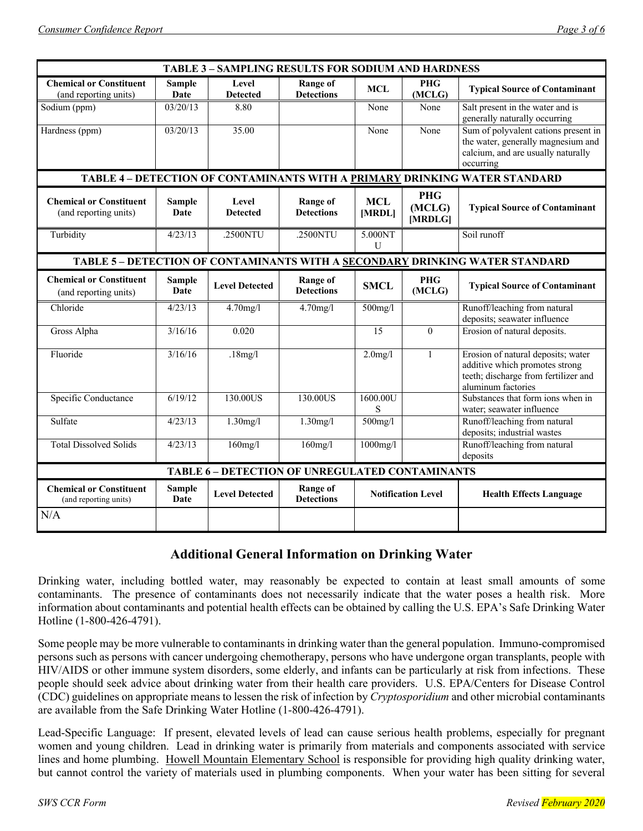| TABLE 3 - SAMPLING RESULTS FOR SODIUM AND HARDNESS                           |                       |                          |                                      |                           |                                 |                                                                                                                                    |  |
|------------------------------------------------------------------------------|-----------------------|--------------------------|--------------------------------------|---------------------------|---------------------------------|------------------------------------------------------------------------------------------------------------------------------------|--|
| <b>Chemical or Constituent</b><br>(and reporting units)                      | <b>Sample</b><br>Date | Level<br><b>Detected</b> | <b>Range of</b><br><b>Detections</b> | <b>MCL</b>                | <b>PHG</b><br>(MCLG)            | <b>Typical Source of Contaminant</b>                                                                                               |  |
| Sodium (ppm)                                                                 | 03/20/13              | 8.80                     |                                      | None                      | None                            | Salt present in the water and is<br>generally naturally occurring                                                                  |  |
| Hardness (ppm)                                                               | 03/20/13              | 35.00                    |                                      | None                      | None                            | Sum of polyvalent cations present in<br>the water, generally magnesium and<br>calcium, and are usually naturally<br>occurring      |  |
|                                                                              |                       |                          |                                      |                           |                                 | TABLE 4 - DETECTION OF CONTAMINANTS WITH A PRIMARY DRINKING WATER STANDARD                                                         |  |
| <b>Chemical or Constituent</b><br>(and reporting units)                      | <b>Sample</b><br>Date | Level<br><b>Detected</b> | <b>Range of</b><br><b>Detections</b> | <b>MCL</b><br>[MRDL]      | <b>PHG</b><br>(MCLG)<br>[MRDLG] | <b>Typical Source of Contaminant</b>                                                                                               |  |
| Turbidity                                                                    | 4/23/13               | .2500NTU                 | .2500NTU                             | 5.000NT<br>$\mathbf{U}$   |                                 | Soil runoff                                                                                                                        |  |
| TABLE 5 - DETECTION OF CONTAMINANTS WITH A SECONDARY DRINKING WATER STANDARD |                       |                          |                                      |                           |                                 |                                                                                                                                    |  |
| <b>Chemical or Constituent</b><br>(and reporting units)                      | <b>Sample</b><br>Date | <b>Level Detected</b>    | Range of<br><b>Detections</b>        | <b>SMCL</b>               | <b>PHG</b><br>(MCLG)            | <b>Typical Source of Contaminant</b>                                                                                               |  |
| Chloride                                                                     | 4/23/13               | $4.70$ mg/l              | $4.70$ mg/l                          | $500$ mg/l                |                                 | Runoff/leaching from natural                                                                                                       |  |
| Gross Alpha                                                                  | 3/16/16               | 0.020                    |                                      | 15                        | $\theta$                        | deposits; seawater influence<br>Erosion of natural deposits.                                                                       |  |
|                                                                              |                       |                          |                                      |                           |                                 |                                                                                                                                    |  |
| Fluoride                                                                     | 3/16/16               | .18mg/l                  |                                      | $2.0$ mg/l                | $\mathbf{1}$                    | Erosion of natural deposits; water<br>additive which promotes strong<br>teeth; discharge from fertilizer and<br>aluminum factories |  |
| Specific Conductance                                                         | 6/19/12               | 130.00US                 | 130.00US                             | 1600.00U<br>S             |                                 | Substances that form ions when in<br>water; seawater influence                                                                     |  |
| Sulfate                                                                      | 4/23/13               | $1.30$ mg/l              | $1.30$ mg/l                          | $500$ mg/l                |                                 | Runoff/leaching from natural<br>deposits; industrial wastes                                                                        |  |
| <b>Total Dissolved Solids</b>                                                | 4/23/13               | $160$ mg/l               | $160$ mg/l                           | $1000$ mg/l               |                                 | Runoff/leaching from natural<br>deposits                                                                                           |  |
| TABLE 6 - DETECTION OF UNREGULATED CONTAMINANTS                              |                       |                          |                                      |                           |                                 |                                                                                                                                    |  |
| <b>Chemical or Constituent</b><br>(and reporting units)                      | <b>Sample</b><br>Date | <b>Level Detected</b>    | Range of<br><b>Detections</b>        | <b>Notification Level</b> |                                 | <b>Health Effects Language</b>                                                                                                     |  |
| N/A                                                                          |                       |                          |                                      |                           |                                 |                                                                                                                                    |  |

# **Additional General Information on Drinking Water**

Drinking water, including bottled water, may reasonably be expected to contain at least small amounts of some contaminants. The presence of contaminants does not necessarily indicate that the water poses a health risk. More information about contaminants and potential health effects can be obtained by calling the U.S. EPA's Safe Drinking Water Hotline (1-800-426-4791).

Some people may be more vulnerable to contaminants in drinking water than the general population. Immuno-compromised persons such as persons with cancer undergoing chemotherapy, persons who have undergone organ transplants, people with HIV/AIDS or other immune system disorders, some elderly, and infants can be particularly at risk from infections. These people should seek advice about drinking water from their health care providers. U.S. EPA/Centers for Disease Control (CDC) guidelines on appropriate means to lessen the risk of infection by *Cryptosporidium* and other microbial contaminants are available from the Safe Drinking Water Hotline (1-800-426-4791).

Lead-Specific Language: If present, elevated levels of lead can cause serious health problems, especially for pregnant women and young children. Lead in drinking water is primarily from materials and components associated with service lines and home plumbing. Howell Mountain Elementary School is responsible for providing high quality drinking water, but cannot control the variety of materials used in plumbing components. When your water has been sitting for several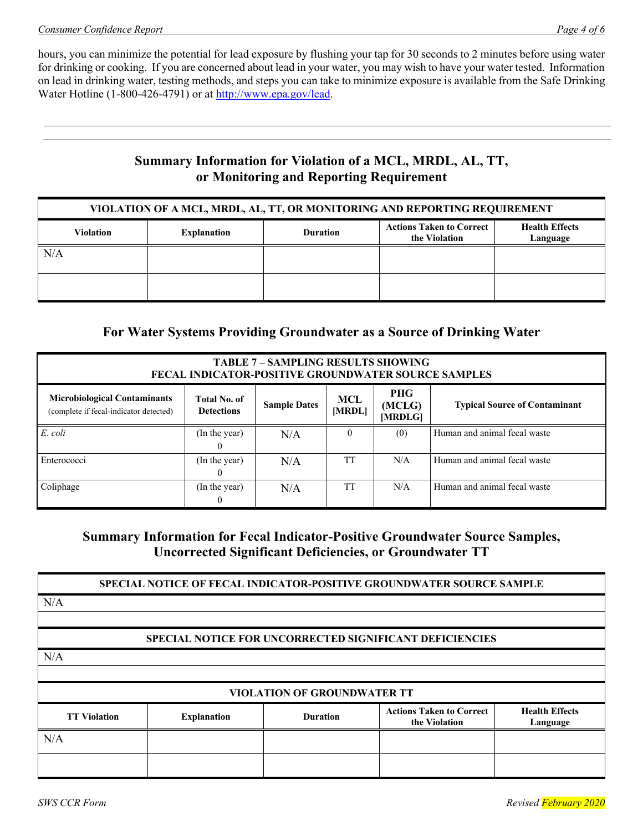hours, you can minimize the potential for lead exposure by flushing your tap for 30 seconds to 2 minutes before using water for drinking or cooking. If you are concerned about lead in your water, you may wish to have your water tested. Information on lead in drinking water, testing methods, and steps you can take to minimize exposure is available from the Safe Drinking Water Hotline (1-800-426-4791) or at http://www.epa.gov/lead.

# **Summary Information for Violation of a MCL, MRDL, AL, TT, or Monitoring and Reporting Requirement**

| VIOLATION OF A MCL, MRDL, AL, TT, OR MONITORING AND REPORTING REQUIREMENT |                    |                 |                                                  |                                   |  |  |
|---------------------------------------------------------------------------|--------------------|-----------------|--------------------------------------------------|-----------------------------------|--|--|
| <b>Violation</b>                                                          | <b>Explanation</b> | <b>Duration</b> | <b>Actions Taken to Correct</b><br>the Violation | <b>Health Effects</b><br>Language |  |  |
| N/A                                                                       |                    |                 |                                                  |                                   |  |  |
|                                                                           |                    |                 |                                                  |                                   |  |  |

# **For Water Systems Providing Groundwater as a Source of Drinking Water**

| <b>TABLE 7 - SAMPLING RESULTS SHOWING</b><br><b>FECAL INDICATOR-POSITIVE GROUNDWATER SOURCE SAMPLES</b> |                                          |                     |               |                                 |                                      |  |  |
|---------------------------------------------------------------------------------------------------------|------------------------------------------|---------------------|---------------|---------------------------------|--------------------------------------|--|--|
| <b>Microbiological Contaminants</b><br>(complete if fecal-indicator detected)                           | <b>Total No. of</b><br><b>Detections</b> | <b>Sample Dates</b> | MCL<br>[MRDL] | <b>PHG</b><br>(MCLG)<br>[MRDLG] | <b>Typical Source of Contaminant</b> |  |  |
| E. coli                                                                                                 | (In the year)<br>$\theta$                | N/A                 | $\theta$      | (0)                             | Human and animal fecal waste         |  |  |
| Enterococci                                                                                             | (In the year)<br>$^{(1)}$                | N/A                 | <b>TT</b>     | N/A                             | Human and animal fecal waste         |  |  |
| Coliphage                                                                                               | (In the year)<br>$\bf{0}$                | N/A                 | TT            | N/A                             | Human and animal fecal waste         |  |  |

# **Summary Information for Fecal Indicator-Positive Groundwater Source Samples, Uncorrected Significant Deficiencies, or Groundwater TT**

**SPECIAL NOTICE OF FECAL INDICATOR-POSITIVE GROUNDWATER SOURCE SAMPLE**

N/A

### **SPECIAL NOTICE FOR UNCORRECTED SIGNIFICANT DEFICIENCIES**

N/A

| <b>VIOLATION OF GROUNDWATER TT</b> |                    |                 |                                                  |                                   |  |  |
|------------------------------------|--------------------|-----------------|--------------------------------------------------|-----------------------------------|--|--|
| <b>TT Violation</b>                | <b>Explanation</b> | <b>Duration</b> | <b>Actions Taken to Correct</b><br>the Violation | <b>Health Effects</b><br>Language |  |  |
| N/A                                |                    |                 |                                                  |                                   |  |  |
|                                    |                    |                 |                                                  |                                   |  |  |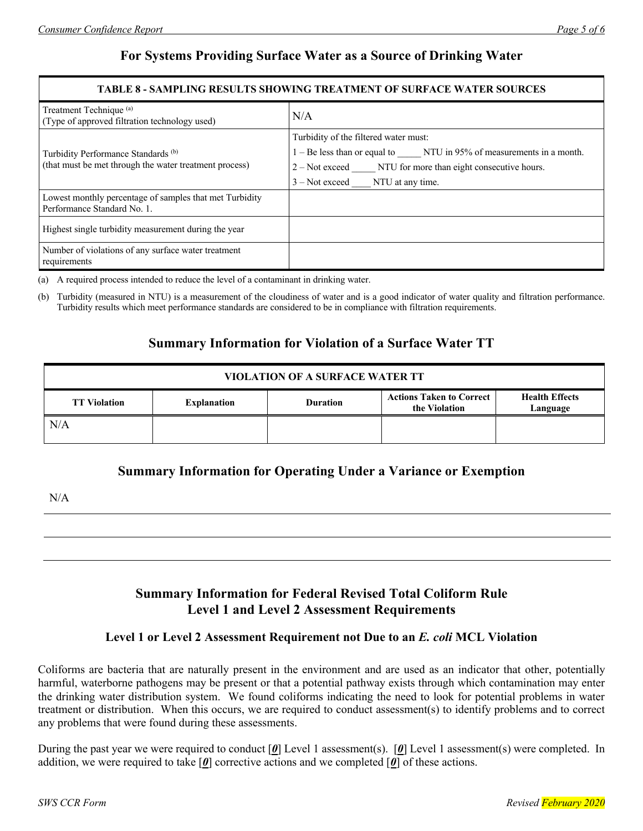# **For Systems Providing Surface Water as a Source of Drinking Water**

#### **TABLE 8 - SAMPLING RESULTS SHOWING TREATMENT OF SURFACE WATER SOURCES**

| Treatment Technique <sup>(a)</sup><br>(Type of approved filtration technology used)                      | N/A                                                                                                                                                                                                                   |  |  |
|----------------------------------------------------------------------------------------------------------|-----------------------------------------------------------------------------------------------------------------------------------------------------------------------------------------------------------------------|--|--|
| Turbidity Performance Standards <sup>(b)</sup><br>(that must be met through the water treatment process) | Turbidity of the filtered water must:<br>1 – Be less than or equal to ______ NTU in 95% of measurements in a month.<br>2 – Not exceed NTU for more than eight consecutive hours.<br>$3 - Not exceed$ NTU at any time. |  |  |
| Lowest monthly percentage of samples that met Turbidity<br>Performance Standard No. 1.                   |                                                                                                                                                                                                                       |  |  |
| Highest single turbidity measurement during the year                                                     |                                                                                                                                                                                                                       |  |  |
| Number of violations of any surface water treatment<br>requirements                                      |                                                                                                                                                                                                                       |  |  |

(a) A required process intended to reduce the level of a contaminant in drinking water.

(b) Turbidity (measured in NTU) is a measurement of the cloudiness of water and is a good indicator of water quality and filtration performance. Turbidity results which meet performance standards are considered to be in compliance with filtration requirements.

# **Summary Information for Violation of a Surface Water TT**

| <b>VIOLATION OF A SURFACE WATER TT</b>                                                                                                                |  |  |  |  |  |  |
|-------------------------------------------------------------------------------------------------------------------------------------------------------|--|--|--|--|--|--|
| <b>Actions Taken to Correct</b><br><b>Health Effects</b><br><b>TT Violation</b><br><b>Duration</b><br><b>Explanation</b><br>the Violation<br>Language |  |  |  |  |  |  |
| N/A                                                                                                                                                   |  |  |  |  |  |  |

# **Summary Information for Operating Under a Variance or Exemption**

N/A

# **Summary Information for Federal Revised Total Coliform Rule Level 1 and Level 2 Assessment Requirements**

### **Level 1 or Level 2 Assessment Requirement not Due to an** *E. coli* **MCL Violation**

Coliforms are bacteria that are naturally present in the environment and are used as an indicator that other, potentially harmful, waterborne pathogens may be present or that a potential pathway exists through which contamination may enter the drinking water distribution system. We found coliforms indicating the need to look for potential problems in water treatment or distribution. When this occurs, we are required to conduct assessment(s) to identify problems and to correct any problems that were found during these assessments.

During the past year we were required to conduct [*0*] Level 1 assessment(s). [*0*] Level 1 assessment(s) were completed. In addition, we were required to take  $\lceil \theta \rceil$  corrective actions and we completed  $\lceil \theta \rceil$  of these actions.